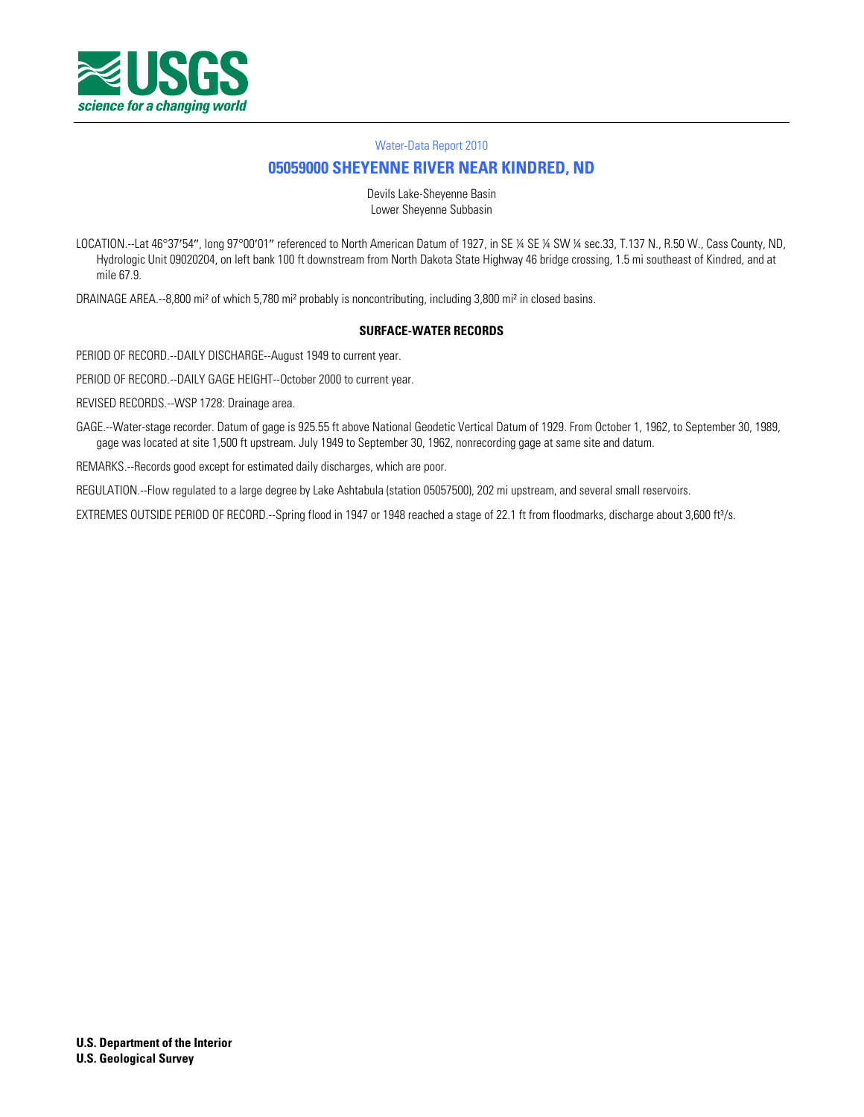

# **[05059000 SHEYENNE RIVER NEAR KINDRED, ND](http://waterdata.usgs.gov/nwis/nwisman/?site_no=05059000)**

Devils Lake-Sheyenne Basin Lower Sheyenne Subbasin

LOCATION.--Lat 46°37'54", long 97°00'01" referenced to North American Datum of 1927, in SE ¼ SE ¼ SW ¼ sec.33, T.137 N., R.50 W., Cass County, ND, Hydrologic Unit 09020204, on left bank 100 ft downstream from North Dakota State Highway 46 bridge crossing, 1.5 mi southeast of Kindred, and at mile 67.9.

DRAINAGE AREA.--8,800 mi² of which 5,780 mi² probably is noncontributing, including 3,800 mi² in closed basins.

#### **SURFACE-WATER RECORDS**

PERIOD OF RECORD.--DAILY DISCHARGE--August 1949 to current year.

PERIOD OF RECORD.--DAILY GAGE HEIGHT--October 2000 to current year.

REVISED RECORDS.--WSP 1728: Drainage area.

GAGE.--Water-stage recorder. Datum of gage is 925.55 ft above National Geodetic Vertical Datum of 1929. From October 1, 1962, to September 30, 1989, gage was located at site 1,500 ft upstream. July 1949 to September 30, 1962, nonrecording gage at same site and datum.

REMARKS.--Records good except for estimated daily discharges, which are poor.

REGULATION.--Flow regulated to a large degree by Lake Ashtabula (station 05057500), 202 mi upstream, and several small reservoirs.

EXTREMES OUTSIDE PERIOD OF RECORD.--Spring flood in 1947 or 1948 reached a stage of 22.1 ft from floodmarks, discharge about 3,600 ft<sup>3</sup>/s.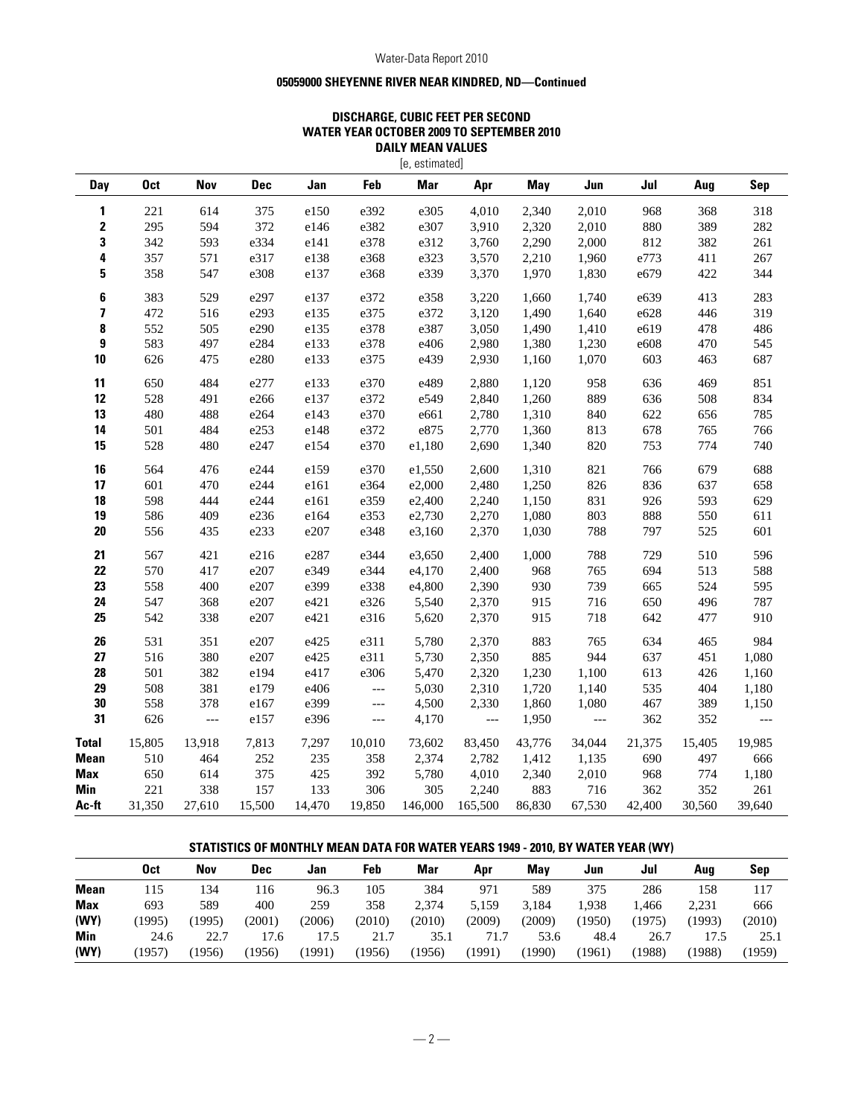## **05059000 SHEYENNE RIVER NEAR KINDRED, ND—Continued**

## **DISCHARGE, CUBIC FEET PER SECOND WATER YEAR OCTOBER 2009 TO SEPTEMBER 2010 DAILY MEAN VALUES**

|             | [e, estimated]  |                |            |        |                          |            |                          |            |        |        |        |            |
|-------------|-----------------|----------------|------------|--------|--------------------------|------------|--------------------------|------------|--------|--------|--------|------------|
| <b>Day</b>  | 0 <sub>ct</sub> | <b>Nov</b>     | <b>Dec</b> | Jan    | Feb                      | <b>Mar</b> | Apr                      | <b>May</b> | Jun    | Jul    | Aug    | <b>Sep</b> |
| 1           | 221             | 614            | 375        | e150   | e392                     | e305       | 4,010                    | 2,340      | 2,010  | 968    | 368    | 318        |
| 2           | 295             | 594            | 372        | e146   | e382                     | e307       | 3,910                    | 2,320      | 2,010  | 880    | 389    | 282        |
| 3           | 342             | 593            | e334       | e141   | e378                     | e312       | 3,760                    | 2,290      | 2,000  | 812    | 382    | 261        |
| 4           | 357             | 571            | e317       | e138   | e368                     | e323       | 3,570                    | 2,210      | 1,960  | e773   | 411    | 267        |
| 5           | 358             | 547            | e308       | e137   | e368                     | e339       | 3,370                    | 1,970      | 1,830  | e679   | 422    | 344        |
| 6           | 383             | 529            | e297       | e137   | e372                     | e358       | 3,220                    | 1,660      | 1,740  | e639   | 413    | 283        |
| 7           | 472             | 516            | e293       | e135   | e375                     | e372       | 3,120                    | 1,490      | 1,640  | e628   | 446    | 319        |
| 8           | 552             | 505            | e290       | e135   | e378                     | e387       | 3,050                    | 1,490      | 1,410  | e619   | 478    | 486        |
| 9           | 583             | 497            | e284       | e133   | e378                     | e406       | 2,980                    | 1,380      | 1,230  | e608   | 470    | 545        |
| 10          | 626             | 475            | e280       | e133   | e375                     | e439       | 2,930                    | 1,160      | 1,070  | 603    | 463    | 687        |
| 11          | 650             | 484            | e277       | e133   | e370                     | e489       | 2,880                    | 1,120      | 958    | 636    | 469    | 851        |
| 12          | 528             | 491            | e266       | e137   | e372                     | e549       | 2,840                    | 1,260      | 889    | 636    | 508    | 834        |
| 13          | 480             | 488            | e264       | e143   | e370                     | e661       | 2,780                    | 1,310      | 840    | 622    | 656    | 785        |
| 14          | 501             | 484            | e253       | e148   | e372                     | e875       | 2,770                    | 1,360      | 813    | 678    | 765    | 766        |
| 15          | 528             | 480            | e247       | e154   | e370                     | e1,180     | 2,690                    | 1,340      | 820    | 753    | 774    | 740        |
| 16          | 564             | 476            | e244       | e159   | e370                     | e1,550     | 2,600                    | 1,310      | 821    | 766    | 679    | 688        |
| 17          | 601             | 470            | e244       | e161   | e364                     | e2,000     | 2,480                    | 1,250      | 826    | 836    | 637    | 658        |
| 18          | 598             | 444            | e244       | e161   | e359                     | e2,400     | 2,240                    | 1,150      | 831    | 926    | 593    | 629        |
| 19          | 586             | 409            | e236       | e164   | e353                     | e2,730     | 2,270                    | 1,080      | 803    | 888    | 550    | 611        |
| 20          | 556             | 435            | e233       | e207   | e348                     | e3,160     | 2,370                    | 1,030      | 788    | 797    | 525    | 601        |
| 21          | 567             | 421            | e216       | e287   | e344                     | e3,650     | 2,400                    | 1,000      | 788    | 729    | 510    | 596        |
| 22          | 570             | 417            | e207       | e349   | e344                     | e4,170     | 2,400                    | 968        | 765    | 694    | 513    | 588        |
| 23          | 558             | 400            | e207       | e399   | e338                     | e4,800     | 2,390                    | 930        | 739    | 665    | 524    | 595        |
| 24          | 547             | 368            | e207       | e421   | e326                     | 5,540      | 2,370                    | 915        | 716    | 650    | 496    | 787        |
| 25          | 542             | 338            | e207       | e421   | e316                     | 5,620      | 2,370                    | 915        | 718    | 642    | 477    | 910        |
| 26          | 531             | 351            | e207       | e425   | e311                     | 5,780      | 2,370                    | 883        | 765    | 634    | 465    | 984        |
| 27          | 516             | 380            | e207       | e425   | e311                     | 5,730      | 2,350                    | 885        | 944    | 637    | 451    | 1,080      |
| 28          | 501             | 382            | e194       | e417   | e306                     | 5,470      | 2,320                    | 1,230      | 1,100  | 613    | 426    | 1,160      |
| 29          | 508             | 381            | e179       | e406   | $\overline{\phantom{a}}$ | 5,030      | 2,310                    | 1,720      | 1,140  | 535    | 404    | 1,180      |
| 30          | 558             | 378            | e167       | e399   | $\qquad \qquad - -$      | 4,500      | 2,330                    | 1,860      | 1,080  | 467    | 389    | 1,150      |
| 31          | 626             | $\overline{a}$ | e157       | e396   | $\hspace{0.05cm} \ldots$ | 4,170      | $\overline{\phantom{a}}$ | 1,950      | $---$  | 362    | 352    | $---$      |
| Total       | 15,805          | 13,918         | 7,813      | 7,297  | 10,010                   | 73,602     | 83,450                   | 43,776     | 34,044 | 21,375 | 15,405 | 19,985     |
| <b>Mean</b> | 510             | 464            | 252        | 235    | 358                      | 2,374      | 2,782                    | 1,412      | 1,135  | 690    | 497    | 666        |
| Max         | 650             | 614            | 375        | 425    | 392                      | 5,780      | 4,010                    | 2,340      | 2,010  | 968    | 774    | 1,180      |
| Min         | 221             | 338            | 157        | 133    | 306                      | 305        | 2,240                    | 883        | 716    | 362    | 352    | 261        |
| Ac-ft       | 31,350          | 27,610         | 15,500     | 14.470 | 19.850                   | 146,000    | 165,500                  | 86,830     | 67,530 | 42,400 | 30,560 | 39.640     |

## **STATISTICS OF MONTHLY MEAN DATA FOR WATER YEARS 1949 - 2010, BY WATER YEAR (WY)**

|            | Oct    | Nov   | <b>Dec</b> | Jan    | Feb    | Mar    | Apr    | Mav    | Jun   | Jul    | Aua    | Sep    |
|------------|--------|-------|------------|--------|--------|--------|--------|--------|-------|--------|--------|--------|
| Mean       | .15    | 134   | 116        | 96.3   | 105    | 384    | 971    | 589    | 375   | 286    | 158    | 117    |
| <b>Max</b> | 693    | 589   | 400        | 259    | 358    | 2.374  | 5.159  | 3.184  | 1.938 | . 466  | 2,231  | 666    |
| (WY)       | (1995) | 1995) | (2001)     | (2006) | (2010) | (2010) | (2009) | (2009) | (1950 | (1975) | (1993  | (2010) |
| Min        | 24.6   | 22.7  | .7.6       | .7.5   | 21.7   | 35.1   | 71.7   | 53.6   | 48.4  | 26.7   |        | 25.1   |
| (WY)       | (1957  | 1956  | (1956)     | (1991) | (1956) | (1956) | (1991  | (1990) | (1961 | (1988) | (1988) | (1959) |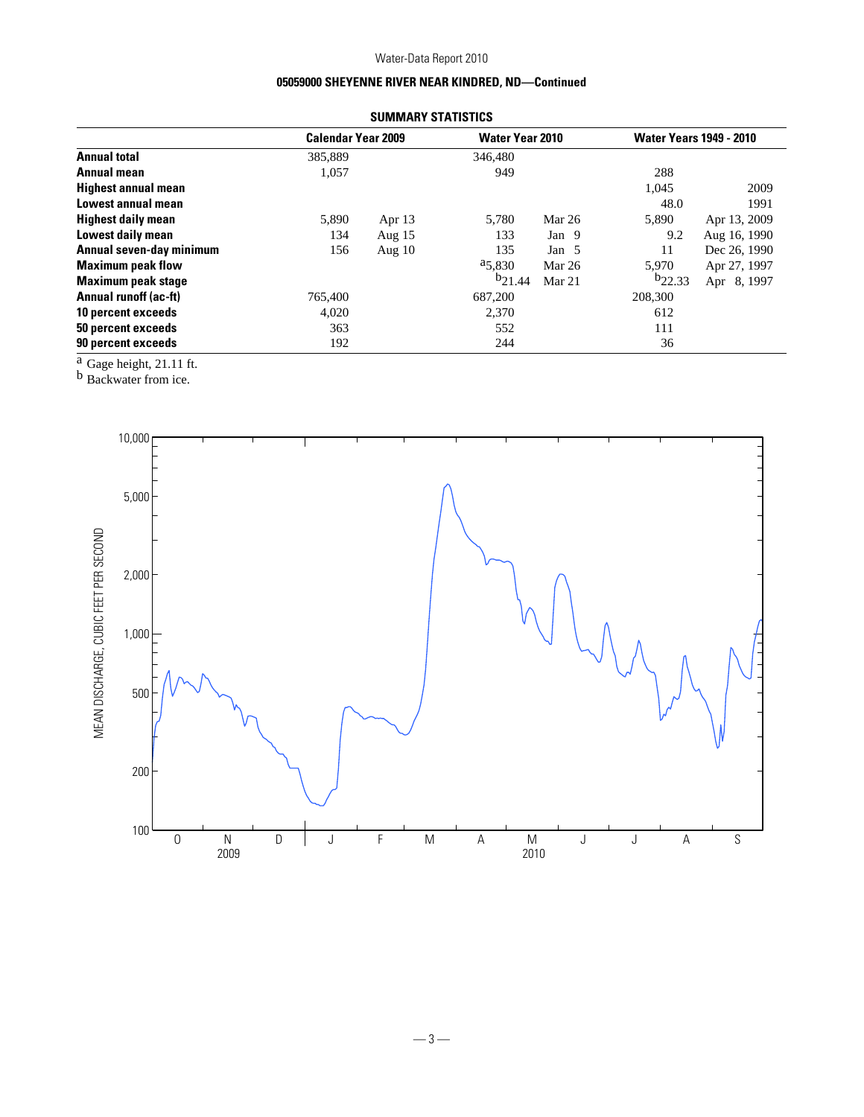# **05059000 SHEYENNE RIVER NEAR KINDRED, ND—Continued**

|         |          |                           |        | <b>Water Years 1949 - 2010</b> |              |  |
|---------|----------|---------------------------|--------|--------------------------------|--------------|--|
| 385,889 |          | 346,480                   |        |                                |              |  |
| 1,057   |          | 949                       |        | 288                            |              |  |
|         |          |                           |        | 1,045                          | 2009         |  |
|         |          |                           |        | 48.0                           | 1991         |  |
| 5,890   | Apr $13$ | 5,780                     | Mar 26 | 5,890                          | Apr 13, 2009 |  |
| 134     | Aug $15$ | 133                       | Jan 9  | 9.2                            | Aug 16, 1990 |  |
| 156     | Aug $10$ | 135                       | Jan 5  | 11                             | Dec 26, 1990 |  |
|         |          | $a_{5,830}$               | Mar 26 | 5,970                          | Apr 27, 1997 |  |
|         |          | $b_{21.44}$               | Mar 21 | $b_{22.33}$                    | Apr 8, 1997  |  |
| 765,400 |          | 687,200                   |        | 208,300                        |              |  |
| 4,020   |          | 2,370                     |        | 612                            |              |  |
| 363     |          | 552                       |        | 111                            |              |  |
| 192     |          | 244                       |        | 36                             |              |  |
|         |          | <b>Calendar Year 2009</b> |        | <b>Water Year 2010</b>         |              |  |

**SUMMARY STATISTICS**

 $a$  Gage height, 21.11 ft.

b Backwater from ice.

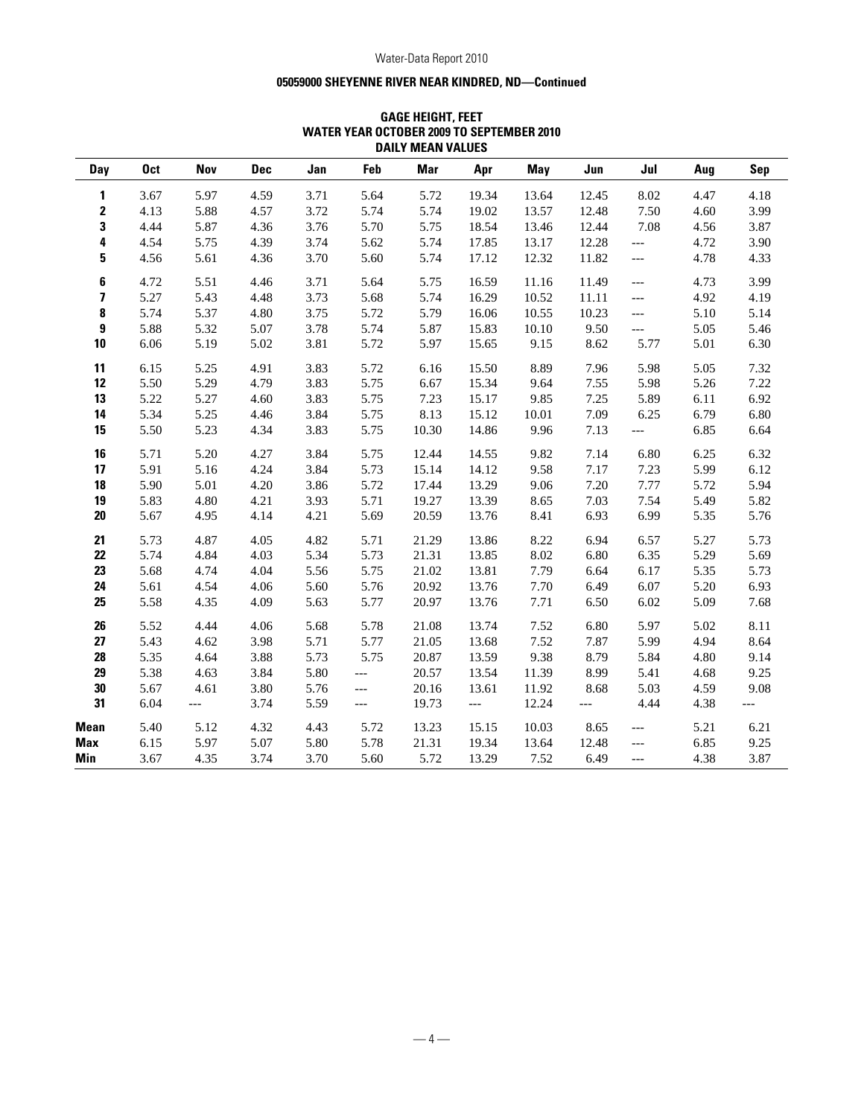## **05059000 SHEYENNE RIVER NEAR KINDRED, ND—Continued**

|                         |            |            |            |      |                | PAILI MEAN TALVLV |                          |       |       |                          |      |                |
|-------------------------|------------|------------|------------|------|----------------|-------------------|--------------------------|-------|-------|--------------------------|------|----------------|
| Day                     | <b>Oct</b> | <b>Nov</b> | <b>Dec</b> | Jan  | Feb            | <b>Mar</b>        | Apr                      | May   | Jun   | Jul                      | Aug  | <b>Sep</b>     |
| 1                       | 3.67       | 5.97       | 4.59       | 3.71 | 5.64           | 5.72              | 19.34                    | 13.64 | 12.45 | 8.02                     | 4.47 | 4.18           |
| $\mathbf 2$             | 4.13       | 5.88       | 4.57       | 3.72 | 5.74           | 5.74              | 19.02                    | 13.57 | 12.48 | 7.50                     | 4.60 | 3.99           |
| 3                       | 4.44       | 5.87       | 4.36       | 3.76 | 5.70           | 5.75              | 18.54                    | 13.46 | 12.44 | 7.08                     | 4.56 | 3.87           |
| 4                       | 4.54       | 5.75       | 4.39       | 3.74 | 5.62           | 5.74              | 17.85                    | 13.17 | 12.28 | $\overline{a}$           | 4.72 | 3.90           |
| 5                       | 4.56       | 5.61       | 4.36       | 3.70 | 5.60           | 5.74              | 17.12                    | 12.32 | 11.82 | $---$                    | 4.78 | 4.33           |
| 6                       | 4.72       | 5.51       | 4.46       | 3.71 | 5.64           | 5.75              | 16.59                    | 11.16 | 11.49 | $\overline{a}$           | 4.73 | 3.99           |
| $\overline{\mathbf{z}}$ | 5.27       | 5.43       | 4.48       | 3.73 | 5.68           | 5.74              | 16.29                    | 10.52 | 11.11 | $\overline{a}$           | 4.92 | 4.19           |
| 8                       | 5.74       | 5.37       | 4.80       | 3.75 | 5.72           | 5.79              | 16.06                    | 10.55 | 10.23 | $---$                    | 5.10 | 5.14           |
| 9                       | 5.88       | 5.32       | 5.07       | 3.78 | 5.74           | 5.87              | 15.83                    | 10.10 | 9.50  | $\overline{a}$           | 5.05 | 5.46           |
| 10                      | 6.06       | 5.19       | 5.02       | 3.81 | 5.72           | 5.97              | 15.65                    | 9.15  | 8.62  | 5.77                     | 5.01 | 6.30           |
| 11                      | 6.15       | 5.25       | 4.91       | 3.83 | 5.72           | 6.16              | 15.50                    | 8.89  | 7.96  | 5.98                     | 5.05 | 7.32           |
| 12                      | 5.50       | 5.29       | 4.79       | 3.83 | 5.75           | 6.67              | 15.34                    | 9.64  | 7.55  | 5.98                     | 5.26 | 7.22           |
| 13                      | 5.22       | 5.27       | 4.60       | 3.83 | 5.75           | 7.23              | 15.17                    | 9.85  | 7.25  | 5.89                     | 6.11 | 6.92           |
| 14                      | 5.34       | 5.25       | 4.46       | 3.84 | 5.75           | 8.13              | 15.12                    | 10.01 | 7.09  | 6.25                     | 6.79 | 6.80           |
| 15                      | 5.50       | 5.23       | 4.34       | 3.83 | 5.75           | 10.30             | 14.86                    | 9.96  | 7.13  | $---$                    | 6.85 | 6.64           |
| 16                      | 5.71       | 5.20       | 4.27       | 3.84 | 5.75           | 12.44             | 14.55                    | 9.82  | 7.14  | 6.80                     | 6.25 | 6.32           |
| 17                      | 5.91       | 5.16       | 4.24       | 3.84 | 5.73           | 15.14             | 14.12                    | 9.58  | 7.17  | 7.23                     | 5.99 | 6.12           |
| 18                      | 5.90       | 5.01       | 4.20       | 3.86 | 5.72           | 17.44             | 13.29                    | 9.06  | 7.20  | 7.77                     | 5.72 | 5.94           |
| 19                      | 5.83       | 4.80       | 4.21       | 3.93 | 5.71           | 19.27             | 13.39                    | 8.65  | 7.03  | 7.54                     | 5.49 | 5.82           |
| $20\,$                  | 5.67       | 4.95       | 4.14       | 4.21 | 5.69           | 20.59             | 13.76                    | 8.41  | 6.93  | 6.99                     | 5.35 | 5.76           |
| 21                      | 5.73       | 4.87       | 4.05       | 4.82 | 5.71           | 21.29             | 13.86                    | 8.22  | 6.94  | 6.57                     | 5.27 | 5.73           |
| 22                      | 5.74       | 4.84       | 4.03       | 5.34 | 5.73           | 21.31             | 13.85                    | 8.02  | 6.80  | 6.35                     | 5.29 | 5.69           |
| 23                      | 5.68       | 4.74       | 4.04       | 5.56 | 5.75           | 21.02             | 13.81                    | 7.79  | 6.64  | 6.17                     | 5.35 | 5.73           |
| 24                      | 5.61       | 4.54       | 4.06       | 5.60 | 5.76           | 20.92             | 13.76                    | 7.70  | 6.49  | 6.07                     | 5.20 | 6.93           |
| 25                      | 5.58       | 4.35       | 4.09       | 5.63 | 5.77           | 20.97             | 13.76                    | 7.71  | 6.50  | 6.02                     | 5.09 | 7.68           |
| 26                      | 5.52       | 4.44       | 4.06       | 5.68 | 5.78           | 21.08             | 13.74                    | 7.52  | 6.80  | 5.97                     | 5.02 | 8.11           |
| 27                      | 5.43       | 4.62       | 3.98       | 5.71 | 5.77           | 21.05             | 13.68                    | 7.52  | 7.87  | 5.99                     | 4.94 | 8.64           |
| 28                      | 5.35       | 4.64       | 3.88       | 5.73 | 5.75           | 20.87             | 13.59                    | 9.38  | 8.79  | 5.84                     | 4.80 | 9.14           |
| 29                      | 5.38       | 4.63       | 3.84       | 5.80 | $\overline{a}$ | 20.57             | 13.54                    | 11.39 | 8.99  | 5.41                     | 4.68 | 9.25           |
| 30                      | 5.67       | 4.61       | 3.80       | 5.76 | $---$          | 20.16             | 13.61                    | 11.92 | 8.68  | 5.03                     | 4.59 | 9.08           |
| 31                      | 6.04       | $---$      | 3.74       | 5.59 | $---$          | 19.73             | $\overline{\phantom{a}}$ | 12.24 | $---$ | 4.44                     | 4.38 | $\overline{a}$ |
| <b>Mean</b>             | 5.40       | 5.12       | 4.32       | 4.43 | 5.72           | 13.23             | 15.15                    | 10.03 | 8.65  | $---$                    | 5.21 | 6.21           |
| Max                     | 6.15       | 5.97       | 5.07       | 5.80 | 5.78           | 21.31             | 19.34                    | 13.64 | 12.48 | $\overline{\phantom{a}}$ | 6.85 | 9.25           |
| Min                     | 3.67       | 4.35       | 3.74       | 3.70 | 5.60           | 5.72              | 13.29                    | 7.52  | 6.49  | $---$                    | 4.38 | 3.87           |

## **GAGE HEIGHT, FEET WATER YEAR OCTOBER 2009 TO SEPTEMBER 2010 DAILY MEAN VALUES**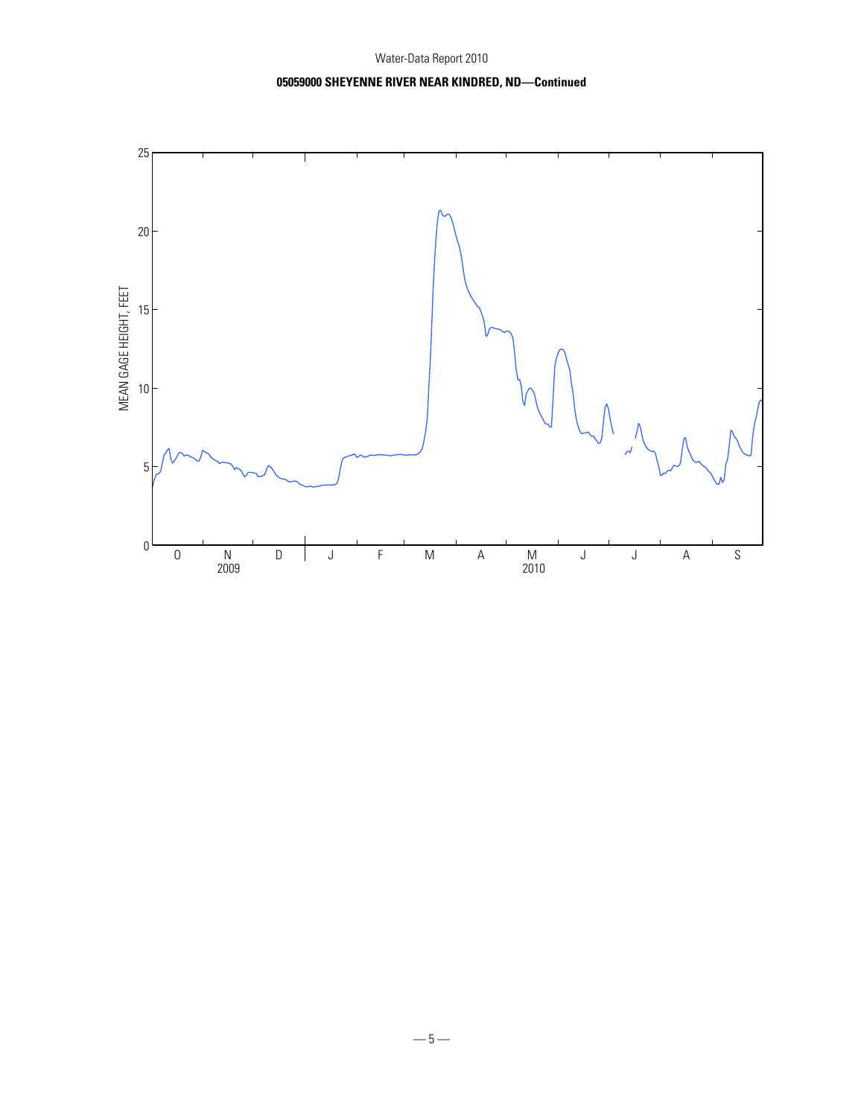# **05059000 SHEYENNE RIVER NEAR KINDRED, ND—Continued**

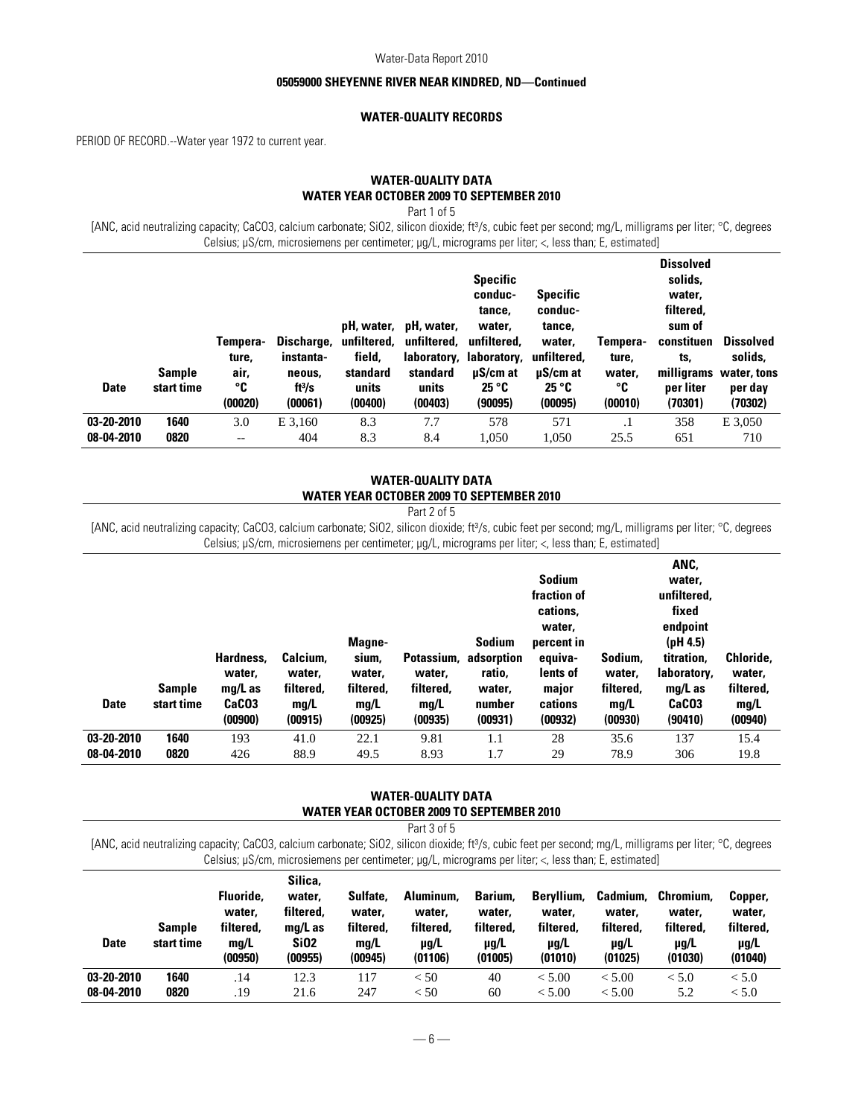### **05059000 SHEYENNE RIVER NEAR KINDRED, ND—Continued**

## **WATER-QUALITY RECORDS**

PERIOD OF RECORD.--Water year 1972 to current year.

# **WATER-QUALITY DATA WATER YEAR OCTOBER 2009 TO SEPTEMBER 2010**

Part 1 of 5

[ANC, acid neutralizing capacity; CaCO3, calcium carbonate; SiO2, silicon dioxide; ft3/s, cubic feet per second; mg/L, milligrams per liter; °C, degrees Celsius; µS/cm, microsiemens per centimeter; µg/L, micrograms per liter; <, less than; E, estimated]

| <b>Date</b> | <b>Sample</b><br>start time | Tempera-<br>ture,<br>air,<br>°C<br>(00020) | Discharge,<br>instanta-<br>neous.<br>ft $3/s$<br>(00061) | unfiltered.<br>field.<br>standard<br>units<br>(00400) | pH, water, pH, water,<br>unfiltered,<br>standard<br>units<br>(00403) | <b>Specific</b><br>conduc-<br>tance.<br>water.<br>unfiltered,<br>laboratory, laboratory,<br>$\mu$ S/cm at<br>25 °C<br>(90095) | <b>Specific</b><br>conduc-<br>tance,<br>water,<br>unfiltered.<br>$\mu$ S/cm at<br>25 °C<br>(00095) | Tempera-<br>ture.<br>water.<br>°C<br>(00010) | <b>Dissolved</b><br>solids,<br>water.<br>filtered,<br>sum of<br>constituen<br>ts.<br>milligrams<br>per liter<br>(70301) | <b>Dissolved</b><br>solids,<br>water, tons<br>per day<br>(70302) |
|-------------|-----------------------------|--------------------------------------------|----------------------------------------------------------|-------------------------------------------------------|----------------------------------------------------------------------|-------------------------------------------------------------------------------------------------------------------------------|----------------------------------------------------------------------------------------------------|----------------------------------------------|-------------------------------------------------------------------------------------------------------------------------|------------------------------------------------------------------|
| 03-20-2010  | 1640                        | 3.0                                        | E 3.160                                                  | 8.3                                                   | 7.7                                                                  | 578                                                                                                                           | 571                                                                                                |                                              | 358                                                                                                                     | E 3,050                                                          |
| 08-04-2010  | 0820                        | $-$                                        | 404                                                      | 8.3                                                   | 8.4                                                                  | 1.050                                                                                                                         | 1,050                                                                                              | 25.5                                         | 651                                                                                                                     | 710                                                              |

### **WATER-QUALITY DATA WATER YEAR OCTOBER 2009 TO SEPTEMBER 2010**

[ANC, acid neutralizing capacity; CaCO3, calcium carbonate; SiO2, silicon dioxide; ft3/s, cubic feet per second; mg/L, milligrams per liter; °C, degrees Celsius; µS/cm, microsiemens per centimeter; µg/L, micrograms per liter; <, less than; E, estimated]

| <b>Date</b>              | <b>Sample</b><br>start time | Hardness,<br>water.<br>$mq/L$ as<br>CaC <sub>03</sub><br>(00900) | Calcium,<br>water.<br>filtered,<br>mg/L<br>(00915) | Magne-<br>sium,<br>water,<br>filtered,<br>mq/L<br>(00925) | water.<br>filtered,<br>mg/L<br>(00935) | <b>Sodium</b><br>Potassium, adsorption<br>ratio,<br>water,<br>number<br>(00931) | <b>Sodium</b><br>fraction of<br>cations.<br>water,<br>percent in<br>equiva-<br>lents of<br>major<br>cations<br>(00932) | Sodium,<br>water.<br>filtered,<br>mg/L<br>(00930) | ANC,<br>water.<br>unfiltered,<br>fixed<br>endpoint<br>(pH 4.5)<br>titration,<br>laboratory,<br>$mq/L$ as<br>CaCO <sub>3</sub><br>(90410) | Chloride,<br>water,<br>filtered,<br>mg/L<br>(00940) |
|--------------------------|-----------------------------|------------------------------------------------------------------|----------------------------------------------------|-----------------------------------------------------------|----------------------------------------|---------------------------------------------------------------------------------|------------------------------------------------------------------------------------------------------------------------|---------------------------------------------------|------------------------------------------------------------------------------------------------------------------------------------------|-----------------------------------------------------|
| 03-20-2010<br>08-04-2010 | 1640<br>0820                | 193<br>426                                                       | 41.0<br>88.9                                       | 22.1<br>49.5                                              | 9.81<br>8.93                           | 1.1<br>1.7                                                                      | 28<br>29                                                                                                               | 35.6<br>78.9                                      | 137<br>306                                                                                                                               | 15.4<br>19.8                                        |
|                          |                             |                                                                  |                                                    |                                                           |                                        |                                                                                 |                                                                                                                        |                                                   |                                                                                                                                          |                                                     |

### **WATER-QUALITY DATA WATER YEAR OCTOBER 2009 TO SEPTEMBER 2010**

Part 3 of 5

[ANC, acid neutralizing capacity; CaCO3, calcium carbonate; SiO2, silicon dioxide; ft3/s, cubic feet per second; mg/L, milligrams per liter; °C, degrees Celsius; µS/cm, microsiemens per centimeter; µg/L, micrograms per liter; <, less than; E, estimated]

| <b>Date</b> | <b>Sample</b><br>start time | Fluoride,<br>water.<br>filtered.<br>ma/L<br>(00950) | Silica.<br>water.<br>filtered.<br>$mq/L$ as<br>SiO <sub>2</sub><br>(00955) | Sulfate,<br>water.<br>filtered.<br>mq/L<br>(00945) | Aluminum,<br>water.<br>filtered.<br>$\mu$ g/L<br>(01106) | Barium.<br>water.<br>filtered.<br>$\mu q/L$<br>(01005) | Bervllium.<br>water.<br>filtered.<br>$\mu$ g/L<br>(01010) | <b>Cadmium.</b><br>water.<br>filtered.<br>$\mu$ g/L<br>(01025) | Chromium.<br>water.<br>filtered.<br>$\mu$ g/L<br>(01030) | Copper,<br>water,<br>filtered.<br>$\mu$ g/L<br>(01040) |
|-------------|-----------------------------|-----------------------------------------------------|----------------------------------------------------------------------------|----------------------------------------------------|----------------------------------------------------------|--------------------------------------------------------|-----------------------------------------------------------|----------------------------------------------------------------|----------------------------------------------------------|--------------------------------------------------------|
| 03-20-2010  | 1640                        | .14                                                 | 12.3                                                                       | 117                                                | < 50                                                     | 40                                                     | < 5.00                                                    | < 5.00                                                         | < 5.0                                                    | < 5.0                                                  |
| 08-04-2010  | 0820                        | .19                                                 | 21.6                                                                       | 247                                                | < 50                                                     | 60                                                     | < 5.00                                                    | < 5.00                                                         | 5.2                                                      | < 5.0                                                  |

Part 2 of 5